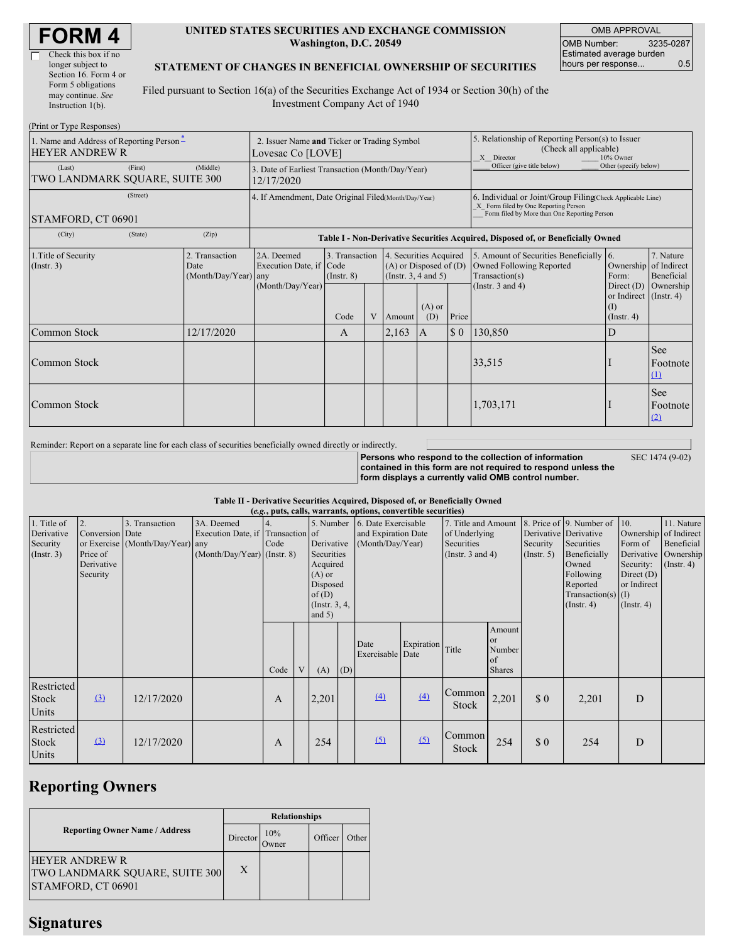| <b>FORM4</b> |
|--------------|
|--------------|

 $\Box$ 

| Check this box if no  |
|-----------------------|
| longer subject to     |
| Section 16. Form 4 or |
| Form 5 obligations    |
| may continue. See     |
| Instruction $1(b)$ .  |
|                       |

(Print or Type Responses)

#### **UNITED STATES SECURITIES AND EXCHANGE COMMISSION Washington, D.C. 20549**

OMB APPROVAL OMB Number: 3235-0287 Estimated average burden hours per response... 0.5

### **STATEMENT OF CHANGES IN BENEFICIAL OWNERSHIP OF SECURITIES**

Filed pursuant to Section 16(a) of the Securities Exchange Act of 1934 or Section 30(h) of the Investment Company Act of 1940

| $(1 \text{ min of } 1 \text{ ypc respectively})$<br>1. Name and Address of Reporting Person-<br><b>HEYER ANDREW R</b> | 2. Issuer Name and Ticker or Trading Symbol<br>Lovesac Co [LOVE] |                                                                                  |                                   |   |                                                                              | 5. Relationship of Reporting Person(s) to Issuer<br>(Check all applicable)<br>10% Owner<br>X Director |                                                                                                                                                    |                                                                                        |                                                                   |                         |
|-----------------------------------------------------------------------------------------------------------------------|------------------------------------------------------------------|----------------------------------------------------------------------------------|-----------------------------------|---|------------------------------------------------------------------------------|-------------------------------------------------------------------------------------------------------|----------------------------------------------------------------------------------------------------------------------------------------------------|----------------------------------------------------------------------------------------|-------------------------------------------------------------------|-------------------------|
| (First)<br>(Last)<br>TWO LANDMARK SQUARE, SUITE 300                                                                   | 3. Date of Earliest Transaction (Month/Day/Year)<br>12/17/2020   |                                                                                  |                                   |   |                                                                              | Officer (give title below)                                                                            | Other (specify below)                                                                                                                              |                                                                                        |                                                                   |                         |
| (Street)<br>STAMFORD, CT 06901                                                                                        | 4. If Amendment, Date Original Filed(Month/Day/Year)             |                                                                                  |                                   |   |                                                                              |                                                                                                       | 6. Individual or Joint/Group Filing(Check Applicable Line)<br>X Form filed by One Reporting Person<br>Form filed by More than One Reporting Person |                                                                                        |                                                                   |                         |
| (City)<br>(State)                                                                                                     | (Zip)                                                            | Table I - Non-Derivative Securities Acquired, Disposed of, or Beneficially Owned |                                   |   |                                                                              |                                                                                                       |                                                                                                                                                    |                                                                                        |                                                                   |                         |
| 1. Title of Security<br>$($ Instr. 3 $)$                                                                              | 2. Transaction<br>Date<br>$(Month/Day/Year)$ any                 | 2A. Deemed<br>Execution Date, if Code                                            | 3. Transaction<br>$($ Instr. $8)$ |   | 4. Securities Acquired<br>$(A)$ or Disposed of $(D)$<br>(Insert. 3, 4 and 5) |                                                                                                       |                                                                                                                                                    | 5. Amount of Securities Beneficially [6.<br>Owned Following Reported<br>Transaction(s) | Ownership of Indirect<br>Form:                                    | 7. Nature<br>Beneficial |
|                                                                                                                       |                                                                  | (Month/Day/Year)                                                                 | Code                              | V | Amount                                                                       | $(A)$ or<br>(D)                                                                                       | Price                                                                                                                                              | (Instr. $3$ and $4$ )                                                                  | Direct $(D)$<br>or Indirect (Instr. 4)<br>(I)<br>$($ Instr. 4 $)$ | Ownership               |
| Common Stock                                                                                                          | 12/17/2020                                                       |                                                                                  | A                                 |   | 2,163                                                                        | A                                                                                                     | $\sqrt{5}0$                                                                                                                                        | 130,850                                                                                | D                                                                 |                         |
| Common Stock                                                                                                          |                                                                  |                                                                                  |                                   |   |                                                                              |                                                                                                       |                                                                                                                                                    | 33,515                                                                                 |                                                                   | See<br>Footnote<br>(1)  |
| Common Stock                                                                                                          |                                                                  |                                                                                  |                                   |   |                                                                              |                                                                                                       |                                                                                                                                                    | 1,703,171                                                                              |                                                                   | See<br>Footnote<br>(2)  |

Reminder: Report on a separate line for each class of securities beneficially owned directly or indirectly.

**Persons who respond to the collection of information contained in this form are not required to respond unless the form displays a currently valid OMB control number.**

SEC 1474 (9-02)

**Table II - Derivative Securities Acquired, Disposed of, or Beneficially Owned**

| (e.g., puts, calls, warrants, options, convertible securities) |                                                             |                                                    |                                                                                  |                                                                                                                                    |   |                                                                |     |                                                                             |                  |                                                  |                                                                                                                                      |                                                                                                         |                                                                      |   |  |
|----------------------------------------------------------------|-------------------------------------------------------------|----------------------------------------------------|----------------------------------------------------------------------------------|------------------------------------------------------------------------------------------------------------------------------------|---|----------------------------------------------------------------|-----|-----------------------------------------------------------------------------|------------------|--------------------------------------------------|--------------------------------------------------------------------------------------------------------------------------------------|---------------------------------------------------------------------------------------------------------|----------------------------------------------------------------------|---|--|
| 1. Title of<br>Derivative<br>Security<br>$($ Instr. 3 $)$      | 2.<br>Conversion Date<br>Price of<br>Derivative<br>Security | 3. Transaction<br>or Exercise (Month/Day/Year) any | 3A. Deemed<br>Execution Date, if Transaction of<br>$(Month/Day/Year)$ (Instr. 8) | 5. Number<br>4.<br>Derivative<br>Code<br>Securities<br>Acquired<br>$(A)$ or<br>Disposed<br>of $(D)$<br>(Instr. $3, 4,$<br>and $5)$ |   | 6. Date Exercisable<br>and Expiration Date<br>(Month/Day/Year) |     | 7. Title and Amount<br>of Underlying<br>Securities<br>(Instr. $3$ and $4$ ) |                  | Derivative Derivative<br>Security<br>(Insert. 5) | 8. Price of 9. Number of<br>Securities<br>Beneficially<br>Owned<br>Following<br>Reported<br>Transaction(s) $(I)$<br>$($ Instr. 4 $)$ | 10.<br>Ownership of Indirect<br>Form of<br>Security:<br>Direct $(D)$<br>or Indirect<br>$($ Instr. 4 $)$ | 11. Nature<br>Beneficial<br>Derivative Ownership<br>$($ Instr. 4 $)$ |   |  |
|                                                                |                                                             |                                                    |                                                                                  | Code                                                                                                                               | V | (A)                                                            | (D) | Date<br>Exercisable Date                                                    | Expiration Title |                                                  | Amount<br>$\alpha$ r<br>Number<br>of<br><b>Shares</b>                                                                                |                                                                                                         |                                                                      |   |  |
| Restricted<br>Stock<br>Units                                   | $\left( \frac{3}{2} \right)$                                | 12/17/2020                                         |                                                                                  | A                                                                                                                                  |   | 2,201                                                          |     | $\left(4\right)$                                                            | (4)              | Common<br><b>Stock</b>                           | 2,201                                                                                                                                | \$0                                                                                                     | 2,201                                                                | D |  |
| Restricted<br>Stock<br>Units                                   | $\left( 3\right)$                                           | 12/17/2020                                         |                                                                                  | A                                                                                                                                  |   | 254                                                            |     | $\Omega$                                                                    | (5)              | Common<br>Stock                                  | 254                                                                                                                                  | \$0                                                                                                     | 254                                                                  | D |  |

# **Reporting Owners**

|                                                                               | <b>Relationships</b> |              |         |       |  |  |  |  |
|-------------------------------------------------------------------------------|----------------------|--------------|---------|-------|--|--|--|--|
| <b>Reporting Owner Name / Address</b>                                         | Director             | 10%<br>Owner | Officer | Other |  |  |  |  |
| HEYER ANDREW R<br><b>TWO LANDMARK SQUARE, SUITE 300</b><br>STAMFORD, CT 06901 | X                    |              |         |       |  |  |  |  |

# **Signatures**